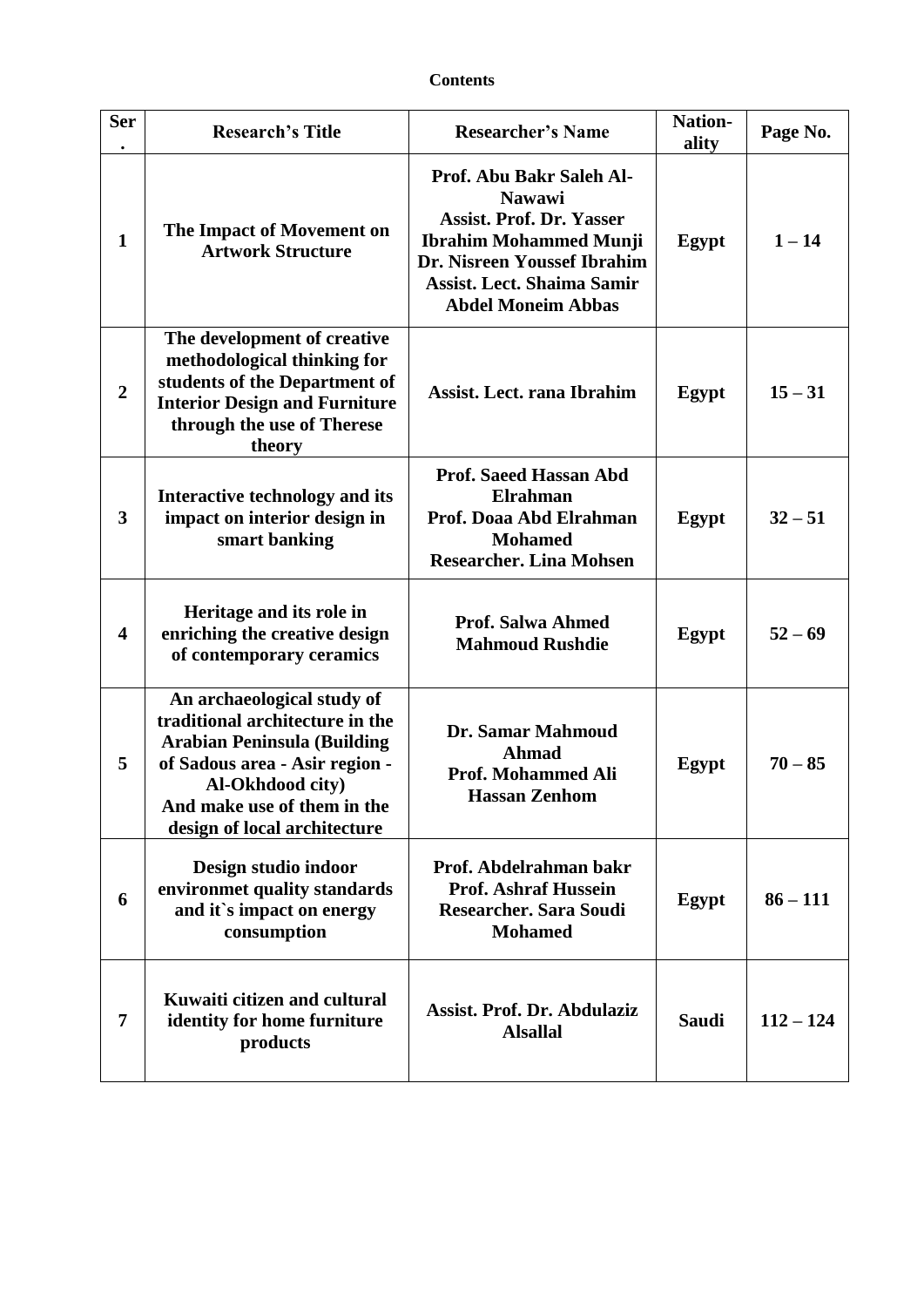## **Contents**

| <b>Ser</b>              | <b>Research's Title</b>                                                                                                                                                                                                  | <b>Researcher's Name</b>                                                                                                                                                                                       | <b>Nation-</b><br>ality | Page No.    |
|-------------------------|--------------------------------------------------------------------------------------------------------------------------------------------------------------------------------------------------------------------------|----------------------------------------------------------------------------------------------------------------------------------------------------------------------------------------------------------------|-------------------------|-------------|
| $\mathbf{1}$            | The Impact of Movement on<br><b>Artwork Structure</b>                                                                                                                                                                    | Prof. Abu Bakr Saleh Al-<br><b>Nawawi</b><br><b>Assist. Prof. Dr. Yasser</b><br><b>Ibrahim Mohammed Munji</b><br>Dr. Nisreen Youssef Ibrahim<br><b>Assist. Lect. Shaima Samir</b><br><b>Abdel Moneim Abbas</b> | Egypt                   | $1 - 14$    |
| $\boldsymbol{2}$        | The development of creative<br>methodological thinking for<br>students of the Department of<br><b>Interior Design and Furniture</b><br>through the use of Therese<br>theory                                              | Assist. Lect. rana Ibrahim                                                                                                                                                                                     | Egypt                   | $15 - 31$   |
| 3                       | Interactive technology and its<br>impact on interior design in<br>smart banking                                                                                                                                          | <b>Prof. Saeed Hassan Abd</b><br>Elrahman<br>Prof. Doaa Abd Elrahman<br><b>Mohamed</b><br><b>Researcher. Lina Mohsen</b>                                                                                       | Egypt                   | $32 - 51$   |
| $\overline{\mathbf{4}}$ | Heritage and its role in<br>enriching the creative design<br>of contemporary ceramics                                                                                                                                    | <b>Prof. Salwa Ahmed</b><br><b>Mahmoud Rushdie</b>                                                                                                                                                             | Egypt                   | $52 - 69$   |
| 5                       | An archaeological study of<br>traditional architecture in the<br><b>Arabian Peninsula (Building</b><br>of Sadous area - Asir region -<br>Al-Okhdood city)<br>And make use of them in the<br>design of local architecture | Dr. Samar Mahmoud<br><b>Ahmad</b><br><b>Prof. Mohammed Ali</b><br><b>Hassan Zenhom</b>                                                                                                                         | Egypt                   | $70 - 85$   |
| 6                       | Design studio indoor<br>environmet quality standards<br>and it's impact on energy<br>consumption                                                                                                                         | Prof. Abdelrahman bakr<br><b>Prof. Ashraf Hussein</b><br><b>Researcher. Sara Soudi</b><br><b>Mohamed</b>                                                                                                       | Egypt                   | $86 - 111$  |
| 7                       | Kuwaiti citizen and cultural<br>identity for home furniture<br>products                                                                                                                                                  | Assist. Prof. Dr. Abdulaziz<br><b>Alsallal</b>                                                                                                                                                                 | <b>Saudi</b>            | $112 - 124$ |